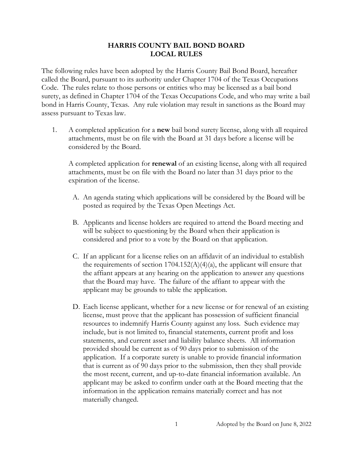## **HARRIS COUNTY BAIL BOND BOARD LOCAL RULES**

The following rules have been adopted by the Harris County Bail Bond Board, hereafter called the Board, pursuant to its authority under Chapter 1704 of the Texas Occupations Code. The rules relate to those persons or entities who may be licensed as a bail bond surety, as defined in Chapter 1704 of the Texas Occupations Code, and who may write a bail bond in Harris County, Texas. Any rule violation may result in sanctions as the Board may assess pursuant to Texas law.

1. A completed application for a **new** bail bond surety license, along with all required attachments, must be on file with the Board at 31 days before a license will be considered by the Board.

A completed application for **renewal** of an existing license, along with all required attachments, must be on file with the Board no later than 31 days prior to the expiration of the license.

- A. An agenda stating which applications will be considered by the Board will be posted as required by the Texas Open Meetings Act.
- B. Applicants and license holders are required to attend the Board meeting and will be subject to questioning by the Board when their application is considered and prior to a vote by the Board on that application.
- C. If an applicant for a license relies on an affidavit of an individual to establish the requirements of section  $1704.152(A)(4)(a)$ , the applicant will ensure that the affiant appears at any hearing on the application to answer any questions that the Board may have. The failure of the affiant to appear with the applicant may be grounds to table the application.
- D. Each license applicant, whether for a new license or for renewal of an existing license, must prove that the applicant has possession of sufficient financial resources to indemnify Harris County against any loss. Such evidence may include, but is not limited to, financial statements, current profit and loss statements, and current asset and liability balance sheets. All information provided should be current as of 90 days prior to submission of the application. If a corporate surety is unable to provide financial information that is current as of 90 days prior to the submission, then they shall provide the most recent, current, and up-to-date financial information available. An applicant may be asked to confirm under oath at the Board meeting that the information in the application remains materially correct and has not materially changed.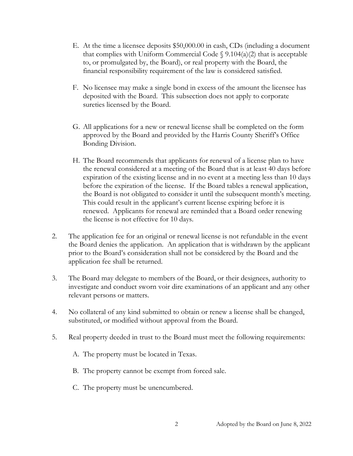- E. At the time a licensee deposits \$50,000.00 in cash, CDs (including a document that complies with Uniform Commercial Code  $\S$  9.104(a)(2) that is acceptable to, or promulgated by, the Board), or real property with the Board, the financial responsibility requirement of the law is considered satisfied.
- F. No licensee may make a single bond in excess of the amount the licensee has deposited with the Board. This subsection does not apply to corporate sureties licensed by the Board.
- G. All applications for a new or renewal license shall be completed on the form approved by the Board and provided by the Harris County Sheriff's Office Bonding Division.
- H. The Board recommends that applicants for renewal of a license plan to have the renewal considered at a meeting of the Board that is at least 40 days before expiration of the existing license and in no event at a meeting less than 10 days before the expiration of the license. If the Board tables a renewal application, the Board is not obligated to consider it until the subsequent month's meeting. This could result in the applicant's current license expiring before it is renewed. Applicants for renewal are reminded that a Board order renewing the license is not effective for 10 days.
- 2. The application fee for an original or renewal license is not refundable in the event the Board denies the application. An application that is withdrawn by the applicant prior to the Board's consideration shall not be considered by the Board and the application fee shall be returned.
- 3. The Board may delegate to members of the Board, or their designees, authority to investigate and conduct sworn voir dire examinations of an applicant and any other relevant persons or matters.
- 4. No collateral of any kind submitted to obtain or renew a license shall be changed, substituted, or modified without approval from the Board.
- 5. Real property deeded in trust to the Board must meet the following requirements:
	- A. The property must be located in Texas.
	- B. The property cannot be exempt from forced sale.
	- C. The property must be unencumbered.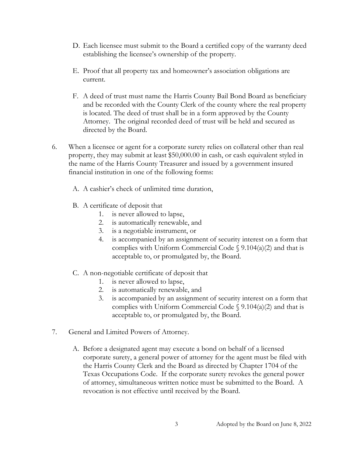- D. Each licensee must submit to the Board a certified copy of the warranty deed establishing the licensee's ownership of the property.
- E. Proof that all property tax and homeowner's association obligations are current.
- F. A deed of trust must name the Harris County Bail Bond Board as beneficiary and be recorded with the County Clerk of the county where the real property is located. The deed of trust shall be in a form approved by the County Attorney. The original recorded deed of trust will be held and secured as directed by the Board.
- 6. When a licensee or agent for a corporate surety relies on collateral other than real property, they may submit at least \$50,000.00 in cash, or cash equivalent styled in the name of the Harris County Treasurer and issued by a government insured financial institution in one of the following forms:
	- A. A cashier's check of unlimited time duration,
	- B. A certificate of deposit that
		- 1. is never allowed to lapse,
		- 2. is automatically renewable, and
		- 3. is a negotiable instrument, or
		- 4. is accompanied by an assignment of security interest on a form that complies with Uniform Commercial Code  $\S$  9.104(a)(2) and that is acceptable to, or promulgated by, the Board.
	- C. A non-negotiable certificate of deposit that
		- 1. is never allowed to lapse,
		- 2. is automatically renewable, and
		- 3. is accompanied by an assignment of security interest on a form that complies with Uniform Commercial Code  $\S$  9.104(a)(2) and that is acceptable to, or promulgated by, the Board.
- 7. General and Limited Powers of Attorney.
	- A. Before a designated agent may execute a bond on behalf of a licensed corporate surety, a general power of attorney for the agent must be filed with the Harris County Clerk and the Board as directed by Chapter 1704 of the Texas Occupations Code. If the corporate surety revokes the general power of attorney, simultaneous written notice must be submitted to the Board. A revocation is not effective until received by the Board.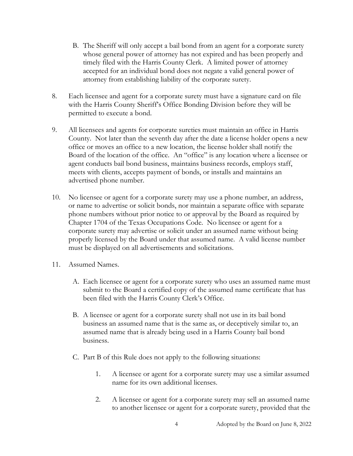- B. The Sheriff will only accept a bail bond from an agent for a corporate surety whose general power of attorney has not expired and has been properly and timely filed with the Harris County Clerk. A limited power of attorney accepted for an individual bond does not negate a valid general power of attorney from establishing liability of the corporate surety.
- 8. Each licensee and agent for a corporate surety must have a signature card on file with the Harris County Sheriff's Office Bonding Division before they will be permitted to execute a bond.
- 9. All licensees and agents for corporate sureties must maintain an office in Harris County. Not later than the seventh day after the date a license holder opens a new office or moves an office to a new location, the license holder shall notify the Board of the location of the office. An "office" is any location where a licensee or agent conducts bail bond business, maintains business records, employs staff, meets with clients, accepts payment of bonds, or installs and maintains an advertised phone number.
- 10. No licensee or agent for a corporate surety may use a phone number, an address, or name to advertise or solicit bonds, nor maintain a separate office with separate phone numbers without prior notice to or approval by the Board as required by Chapter 1704 of the Texas Occupations Code. No licensee or agent for a corporate surety may advertise or solicit under an assumed name without being properly licensed by the Board under that assumed name. A valid license number must be displayed on all advertisements and solicitations.
- 11. Assumed Names.
	- A. Each licensee or agent for a corporate surety who uses an assumed name must submit to the Board a certified copy of the assumed name certificate that has been filed with the Harris County Clerk's Office.
	- B. A licensee or agent for a corporate surety shall not use in its bail bond business an assumed name that is the same as, or deceptively similar to, an assumed name that is already being used in a Harris County bail bond business.
	- C. Part B of this Rule does not apply to the following situations:
		- 1. A licensee or agent for a corporate surety may use a similar assumed name for its own additional licenses.
		- 2. A licensee or agent for a corporate surety may sell an assumed name to another licensee or agent for a corporate surety, provided that the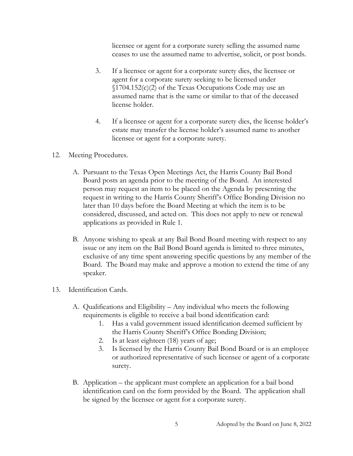licensee or agent for a corporate surety selling the assumed name ceases to use the assumed name to advertise, solicit, or post bonds.

- 3. If a licensee or agent for a corporate surety dies, the licensee or agent for a corporate surety seeking to be licensed under  $\{(1704.152(c)(2) \text{ of the Texas Occasionally Code may use an } \mathbb{Z}\})$ assumed name that is the same or similar to that of the deceased license holder.
- 4. If a licensee or agent for a corporate surety dies, the license holder's estate may transfer the license holder's assumed name to another licensee or agent for a corporate surety.
- 12. Meeting Procedures.
	- A. Pursuant to the Texas Open Meetings Act, the Harris County Bail Bond Board posts an agenda prior to the meeting of the Board. An interested person may request an item to be placed on the Agenda by presenting the request in writing to the Harris County Sheriff's Office Bonding Division no later than 10 days before the Board Meeting at which the item is to be considered, discussed, and acted on. This does not apply to new or renewal applications as provided in Rule 1.
	- B. Anyone wishing to speak at any Bail Bond Board meeting with respect to any issue or any item on the Bail Bond Board agenda is limited to three minutes, exclusive of any time spent answering specific questions by any member of the Board. The Board may make and approve a motion to extend the time of any speaker.
- 13. Identification Cards.
	- A. Qualifications and Eligibility Any individual who meets the following requirements is eligible to receive a bail bond identification card:
		- 1. Has a valid government issued identification deemed sufficient by the Harris County Sheriff's Office Bonding Division;
		- 2. Is at least eighteen (18) years of age;
		- 3. Is licensed by the Harris County Bail Bond Board or is an employee or authorized representative of such licensee or agent of a corporate surety.
	- B. Application the applicant must complete an application for a bail bond identification card on the form provided by the Board. The application shall be signed by the licensee or agent for a corporate surety.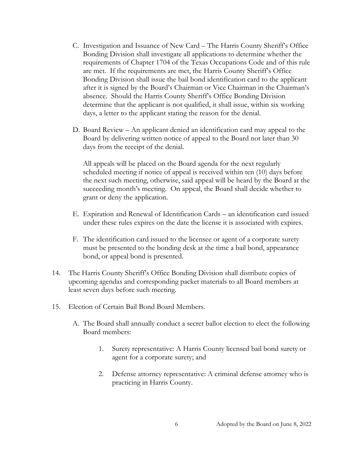- C. Investigation and Issuance of New Card The Harris County Sheriff's Office Bonding Division shall investigate all applications to determine whether the requirements of Chapter 1704 of the Texas Occupations Code and of this rule are met. If the requirements are met, the Harris County Sheriff's Office Bonding Division shall issue the bail bond identification card to the applicant after it is signed by the Board's Chairman or Vice Chairman in the Chairman's absence. Should the Harris County Sheriff's Office Bonding Division determine that the applicant is not qualified, it shall issue, within six working days, a letter to the applicant stating the reason for the denial.
- D. Board Review An applicant denied an identification card may appeal to the Board by delivering written notice of appeal to the Board not later than 30 days from the receipt of the denial.

All appeals will be placed on the Board agenda for the next regularly scheduled meeting if notice of appeal is received within ten (10) days before the next such meeting, otherwise, said appeal will be heard by the Board at the succeeding month's meeting. On appeal, the Board shall decide whether to grant or deny the application.

- E. Expiration and Renewal of Identification Cards an identification card issued under these rules expires on the date the license it is associated with expires.
- F. The identification card issued to the licensee or agent of a corporate surety must be presented to the bonding desk at the time a bail bond, appearance bond, or appeal bond is presented.
- 14. The Harris County Sheriff's Office Bonding Division shall distribute copies of upcoming agendas and corresponding packet materials to all Board members at least seven days before such meeting.
- 15. Election of Certain Bail Bond Board Members.
	- A. The Board shall annually conduct a secret ballot election to elect the following Board members:
		- 1. Surety representative: A Harris County licensed bail bond surety or agent for a corporate surety; and
		- 2. Defense attorney representative: A criminal defense attorney who is practicing in Harris County.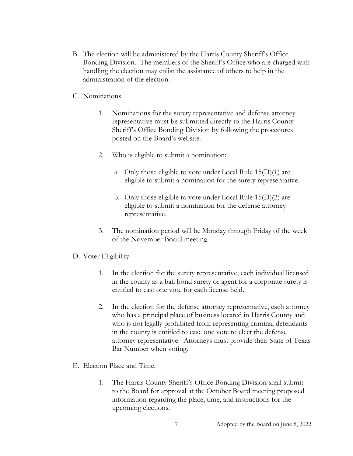- B. The election will be administered by the Harris County Sheriff's Office Bonding Division. The members of the Sheriff's Office who are charged with handling the election may enlist the assistance of others to help in the administration of the election.
- C. Nominations.
	- 1. Nominations for the surety representative and defense attorney representative must be submitted directly to the Harris County Sheriff's Office Bonding Division by following the procedures posted on the Board's website.
	- 2. Who is eligible to submit a nomination:
		- a. Only those eligible to vote under Local Rule  $15(D)(1)$  are eligible to submit a nomination for the surety representative.
		- b. Only those eligible to vote under Local Rule 15(D)(2) are eligible to submit a nomination for the defense attorney representative.
	- 3. The nomination period will be Monday through Friday of the week of the November Board meeting.

## D. Voter Eligibility.

- 1. In the election for the surety representative, each individual licensed in the county as a bail bond surety or agent for a corporate surety is entitled to cast one vote for each license held.
- 2. In the election for the defense attorney representative, each attorney who has a principal place of business located in Harris County and who is not legally prohibited from representing criminal defendants in the county is entitled to case one vote to elect the defense attorney representative. Attorneys must provide their State of Texas Bar Number when voting.
- E. Election Place and Time.
	- 1. The Harris County Sheriff's Office Bonding Division shall submit to the Board for approval at the October Board meeting proposed information regarding the place, time, and instructions for the upcoming elections.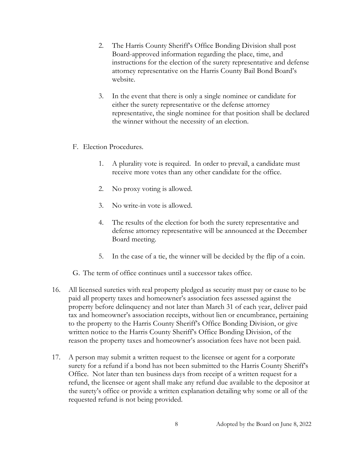- 2. The Harris County Sheriff's Office Bonding Division shall post Board-approved information regarding the place, time, and instructions for the election of the surety representative and defense attorney representative on the Harris County Bail Bond Board's website.
- 3. In the event that there is only a single nominee or candidate for either the surety representative or the defense attorney representative, the single nominee for that position shall be declared the winner without the necessity of an election.
- F. Election Procedures.
	- 1. A plurality vote is required. In order to prevail, a candidate must receive more votes than any other candidate for the office.
	- 2. No proxy voting is allowed.
	- 3. No write-in vote is allowed.
	- 4. The results of the election for both the surety representative and defense attorney representative will be announced at the December Board meeting.
	- 5. In the case of a tie, the winner will be decided by the flip of a coin.
- G. The term of office continues until a successor takes office.
- 16. All licensed sureties with real property pledged as security must pay or cause to be paid all property taxes and homeowner's association fees assessed against the property before delinquency and not later than March 31 of each year, deliver paid tax and homeowner's association receipts, without lien or encumbrance, pertaining to the property to the Harris County Sheriff's Office Bonding Division, or give written notice to the Harris County Sheriff's Office Bonding Division, of the reason the property taxes and homeowner's association fees have not been paid.
- 17. A person may submit a written request to the licensee or agent for a corporate surety for a refund if a bond has not been submitted to the Harris County Sheriff's Office. Not later than ten business days from receipt of a written request for a refund, the licensee or agent shall make any refund due available to the depositor at the surety's office or provide a written explanation detailing why some or all of the requested refund is not being provided.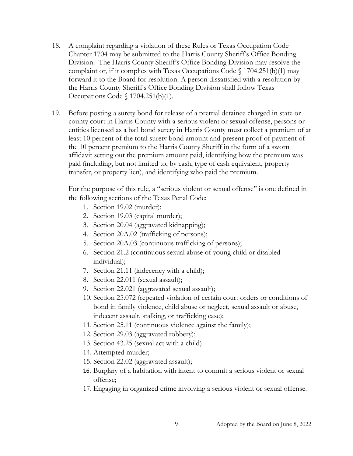- 18. A complaint regarding a violation of these Rules or Texas Occupation Code Chapter 1704 may be submitted to the Harris County Sheriff's Office Bonding Division. The Harris County Sheriff's Office Bonding Division may resolve the complaint or, if it complies with Texas Occupations Code  $\S$  1704.251(b)(1) may forward it to the Board for resolution. A person dissatisfied with a resolution by the Harris County Sheriff's Office Bonding Division shall follow Texas Occupations Code § 1704.251(b)(1).
- 19. Before posting a surety bond for release of a pretrial detainee charged in state or county court in Harris County with a serious violent or sexual offense, persons or entities licensed as a bail bond surety in Harris County must collect a premium of at least 10 percent of the total surety bond amount and present proof of payment of the 10 percent premium to the Harris County Sheriff in the form of a sworn affidavit setting out the premium amount paid, identifying how the premium was paid (including, but not limited to, by cash, type of cash equivalent, property transfer, or property lien), and identifying who paid the premium.

For the purpose of this rule, a "serious violent or sexual offense" is one defined in the following sections of the Texas Penal Code:

- 1. Section 19.02 (murder);
- 2. Section 19.03 (capital murder);
- 3. Section 20.04 (aggravated kidnapping);
- 4. Section 20A.02 (trafficking of persons);
- 5. Section 20A.03 (continuous trafficking of persons);
- 6. Section 21.2 (continuous sexual abuse of young child or disabled individual);
- 7. Section 21.11 (indecency with a child);
- 8. Section 22.011 (sexual assault);
- 9. Section 22.021 (aggravated sexual assault);
- 10. Section 25.072 (repeated violation of certain court orders or conditions of bond in family violence, child abuse or neglect, sexual assault or abuse, indecent assault, stalking, or trafficking case);
- 11. Section 25.11 (continuous violence against the family);
- 12. Section 29.03 (aggravated robbery);
- 13. Section 43.25 (sexual act with a child)
- 14. Attempted murder;
- 15. Section 22.02 (aggravated assault);
- 16. Burglary of a habitation with intent to commit a serious violent or sexual offense;
- 17. Engaging in organized crime involving a serious violent or sexual offense.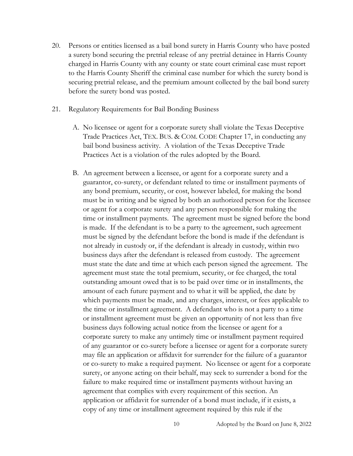- 20. Persons or entities licensed as a bail bond surety in Harris County who have posted a surety bond securing the pretrial release of any pretrial detainee in Harris County charged in Harris County with any county or state court criminal case must report to the Harris County Sheriff the criminal case number for which the surety bond is securing pretrial release, and the premium amount collected by the bail bond surety before the surety bond was posted.
- 21. Regulatory Requirements for Bail Bonding Business
	- A. No licensee or agent for a corporate surety shall violate the Texas Deceptive Trade Practices Act, TEX. BUS. & COM. CODE Chapter 17, in conducting any bail bond business activity. A violation of the Texas Deceptive Trade Practices Act is a violation of the rules adopted by the Board.
	- B. An agreement between a licensee, or agent for a corporate surety and a guarantor, co-surety, or defendant related to time or installment payments of any bond premium, security, or cost, however labeled, for making the bond must be in writing and be signed by both an authorized person for the licensee or agent for a corporate surety and any person responsible for making the time or installment payments. The agreement must be signed before the bond is made. If the defendant is to be a party to the agreement, such agreement must be signed by the defendant before the bond is made if the defendant is not already in custody or, if the defendant is already in custody, within two business days after the defendant is released from custody. The agreement must state the date and time at which each person signed the agreement. The agreement must state the total premium, security, or fee charged, the total outstanding amount owed that is to be paid over time or in installments, the amount of each future payment and to what it will be applied, the date by which payments must be made, and any charges, interest, or fees applicable to the time or installment agreement. A defendant who is not a party to a time or installment agreement must be given an opportunity of not less than five business days following actual notice from the licensee or agent for a corporate surety to make any untimely time or installment payment required of any guarantor or co-surety before a licensee or agent for a corporate surety may file an application or affidavit for surrender for the failure of a guarantor or co-surety to make a required payment. No licensee or agent for a corporate surety, or anyone acting on their behalf, may seek to surrender a bond for the failure to make required time or installment payments without having an agreement that complies with every requirement of this section. An application or affidavit for surrender of a bond must include, if it exists, a copy of any time or installment agreement required by this rule if the